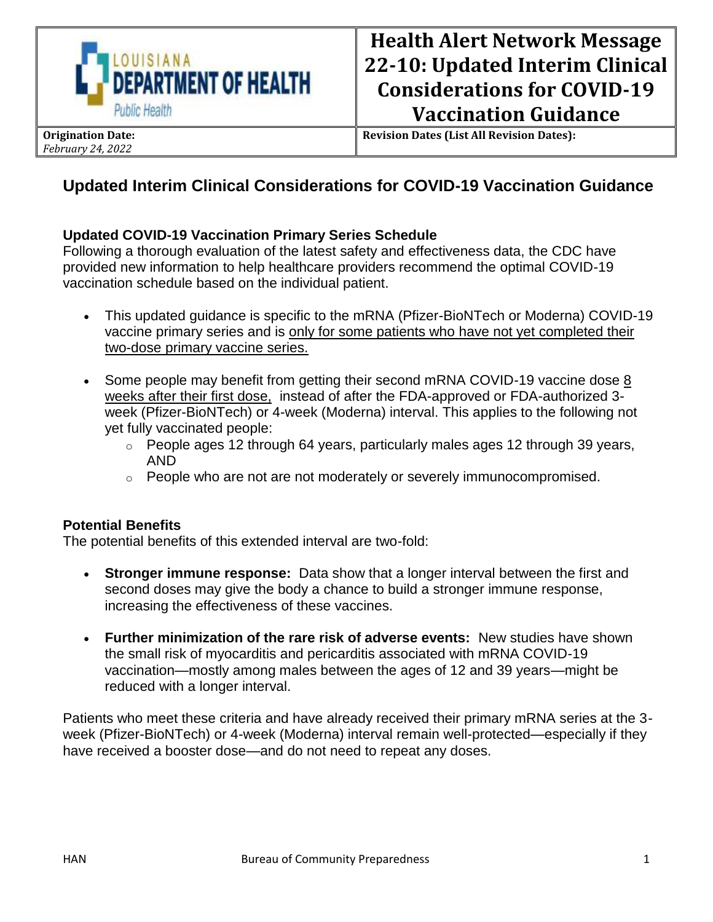

**Revision Dates (List All Revision Dates):**

# **Updated Interim Clinical Considerations for COVID-19 Vaccination Guidance**

## **Updated COVID-19 Vaccination Primary Series Schedule**

Following a thorough evaluation of the latest safety and effectiveness data, the CDC have provided new information to help healthcare providers recommend the optimal COVID-19 vaccination schedule based on the individual patient.

- This updated guidance is specific to the mRNA (Pfizer-BioNTech or Moderna) COVID-19 vaccine primary series and is only for some patients who have not yet completed their two-dose primary vaccine series.
- Some people may benefit from getting their second mRNA COVID-19 vaccine dose 8 weeks after their first dose, instead of after the FDA-approved or FDA-authorized 3 week (Pfizer-BioNTech) or 4-week (Moderna) interval. This applies to the following not yet fully vaccinated people:
	- $\circ$  People ages 12 through 64 years, particularly males ages 12 through 39 years, AND
	- $\circ$  People who are not are not moderately or severely immunocompromised.

#### **Potential Benefits**

The potential benefits of this extended interval are two-fold:

- **Stronger immune response:** Data show that a longer interval between the first and second doses may give the body a chance to build a stronger immune response, increasing the effectiveness of these vaccines.
- **Further minimization of the rare risk of adverse events:** New studies have shown the small risk of myocarditis and pericarditis associated with mRNA COVID-19 vaccination—mostly among males between the ages of 12 and 39 years—might be reduced with a longer interval.

Patients who meet these criteria and have already received their primary mRNA series at the 3 week (Pfizer-BioNTech) or 4-week (Moderna) interval remain well-protected—especially if they have received a booster dose—and do not need to repeat any doses.